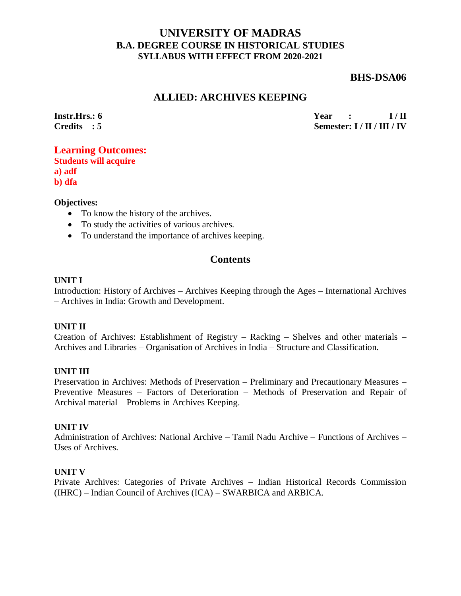## **UNIVERSITY OF MADRAS B.A. DEGREE COURSE IN HISTORICAL STUDIES SYLLABUS WITH EFFECT FROM 2020-2021**

### **BHS-DSA06**

## **ALLIED: ARCHIVES KEEPING**

**Instr.Hrs.: 6 Credits : 5** **Year** : **I/II Semester: I / II / III / IV**

### **Learning Outcomes: Students will acquire**

**a) adf b) dfa**

### **Objectives:**

- To know the history of the archives.
- To study the activities of various archives.
- To understand the importance of archives keeping.

## **Contents**

#### **UNIT I**

Introduction: History of Archives – Archives Keeping through the Ages – International Archives – Archives in India: Growth and Development.

#### **UNIT II**

Creation of Archives: Establishment of Registry – Racking – Shelves and other materials – Archives and Libraries – Organisation of Archives in India – Structure and Classification.

#### **UNIT III**

Preservation in Archives: Methods of Preservation – Preliminary and Precautionary Measures – Preventive Measures – Factors of Deterioration – Methods of Preservation and Repair of Archival material – Problems in Archives Keeping.

#### **UNIT IV**

Administration of Archives: National Archive – Tamil Nadu Archive – Functions of Archives – Uses of Archives.

#### **UNIT V**

Private Archives: Categories of Private Archives – Indian Historical Records Commission (IHRC) – Indian Council of Archives (ICA) – SWARBICA and ARBICA.